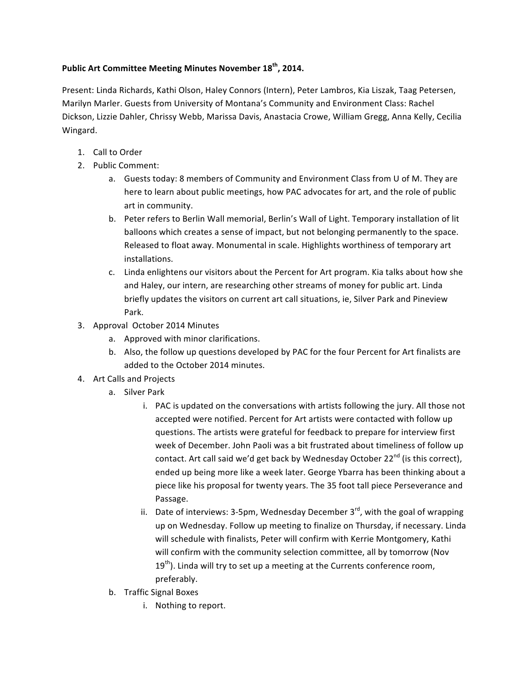## **Public Art Committee Meeting Minutes November 18<sup>th</sup>, 2014.**

Present: Linda Richards, Kathi Olson, Haley Connors (Intern), Peter Lambros, Kia Liszak, Taag Petersen, Marilyn Marler. Guests from University of Montana's Community and Environment Class: Rachel Dickson, Lizzie Dahler, Chrissy Webb, Marissa Davis, Anastacia Crowe, William Gregg, Anna Kelly, Cecilia Wingard.

- 1. Call to Order
- 2. Public Comment:
	- a. Guests today: 8 members of Community and Environment Class from U of M. They are here to learn about public meetings, how PAC advocates for art, and the role of public art in community.
	- b. Peter refers to Berlin Wall memorial, Berlin's Wall of Light. Temporary installation of lit balloons which creates a sense of impact, but not belonging permanently to the space. Released to float away. Monumental in scale. Highlights worthiness of temporary art installations.
	- c. Linda enlightens our visitors about the Percent for Art program. Kia talks about how she and Haley, our intern, are researching other streams of money for public art. Linda briefly updates the visitors on current art call situations, ie, Silver Park and Pineview Park.
- 3. Approval October 2014 Minutes
	- a. Approved with minor clarifications.
	- b. Also, the follow up questions developed by PAC for the four Percent for Art finalists are added to the October 2014 minutes.
- 4. Art Calls and Projects
	- a. Silver Park
		- i. PAC is updated on the conversations with artists following the jury. All those not accepted were notified. Percent for Art artists were contacted with follow up questions. The artists were grateful for feedback to prepare for interview first week of December. John Paoli was a bit frustrated about timeliness of follow up contact. Art call said we'd get back by Wednesday October 22<sup>nd</sup> (is this correct), ended up being more like a week later. George Ybarra has been thinking about a piece like his proposal for twenty years. The 35 foot tall piece Perseverance and Passage.
		- ii. Date of interviews: 3-5pm, Wednesday December  $3^{rd}$ , with the goal of wrapping up on Wednesday. Follow up meeting to finalize on Thursday, if necessary. Linda will schedule with finalists, Peter will confirm with Kerrie Montgomery, Kathi will confirm with the community selection committee, all by tomorrow (Nov  $19<sup>th</sup>$ ). Linda will try to set up a meeting at the Currents conference room, preferably.
	- b. Traffic Signal Boxes
		- i. Nothing to report.